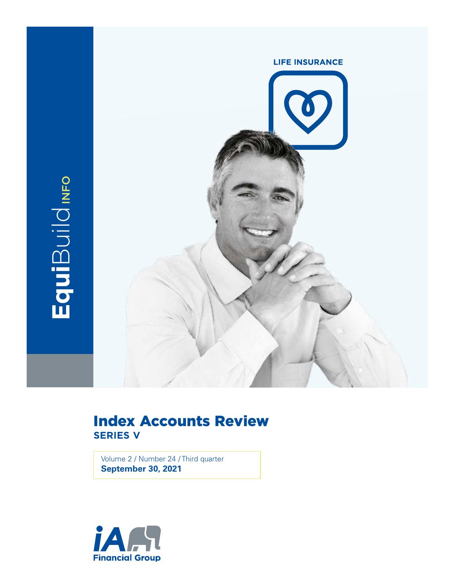

## Index Accounts Review **SERIES V**

Volume 2 / Number 24 / Third quarter **September 30, 2021**

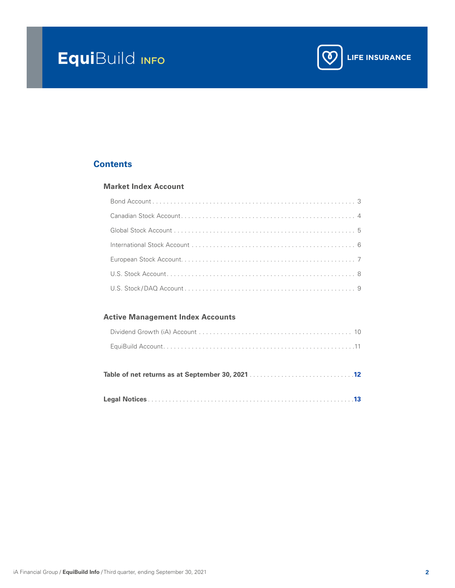# **Equi**Build info



## **Contents**

### **[Market Index Account](#page-2-0)**

## **[Active Management Index Accounts](#page-9-0)**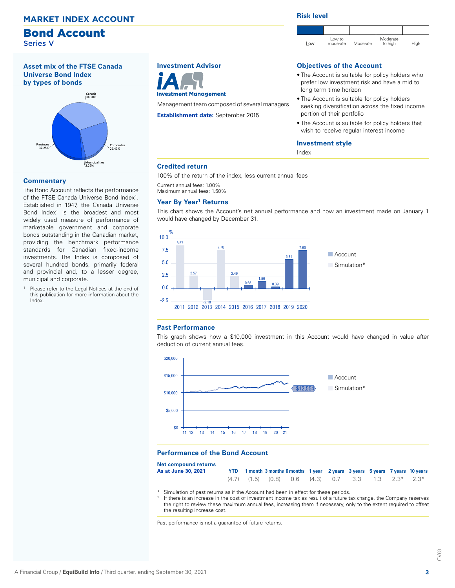### <span id="page-2-0"></span>**MARKET INDEX ACCOUNT**

## Bond Account

Series V

**Asset mix of the FTSE Canada Universe Bond Index by types of bonds**



#### **Commentary**

The Bond Account reflects the performance of the FTSE Canada Universe Bond Index<sup>1</sup>. Established in 1947, the Canada Universe Bond  $Index<sup>1</sup>$  is the broadest and most widely used measure of performance of marketable government and corporate bonds outstanding in the Canadian market, providing the benchmark performance standards for Canadian fixed-income investments. The Index is composed of several hundred bonds, primarily federal and provincial and, to a lesser degree, municipal and corporate.

Please refer to the Legal Notices at the end of this publication for more information about the Index.

### **Investment Advisor**



Management team composed of several managers

**Establishment date:** September 2015

#### **Risk level**



#### **Objectives of the Account**

- The Account is suitable for policy holders who prefer low investment risk and have a mid to long term time horizon
- The Account is suitable for policy holders seeking diversification across the fixed income portion of their portfolio
- The Account is suitable for policy holders that wish to receive regular interest income

#### **Investment style**

Index

#### **Credited return**

100% of the return of the index, less current annual fees

Current annual fees: 1.00% Maximum annual fees: 1.50%

#### **Year By Year1 Returns**

This chart shows the Account's net annual performance and how an investment made on January 1 would have changed by December 31.



#### **Past Performance**

This graph shows how a \$10,000 investment in this Account would have changed in value after deduction of current annual fees.



#### **Performance of the Bond Account**

| <b>Net compound returns</b> |  |                                                                               |  |  |  |
|-----------------------------|--|-------------------------------------------------------------------------------|--|--|--|
| As at June 30, 2021         |  | YTD 1 month 3 months 6 months 1 year 2 years 3 years 5 years 7 years 10 years |  |  |  |
|                             |  | $(4.7)$ $(1.5)$ $(0.8)$ $0.6$ $(4.3)$ $0.7$ $3.3$ $1.3$ $2.3^*$ $2.3^*$       |  |  |  |

Simulation of past returns as if the Account had been in effect for these periods.

If there is an increase in the cost of investment income tax as result of a future tax change, the Company reserves the right to review these maximum annual fees, increasing them if necessary, only to the extent required to offset the resulting increase cost.

Past performance is not a guarantee of future returns.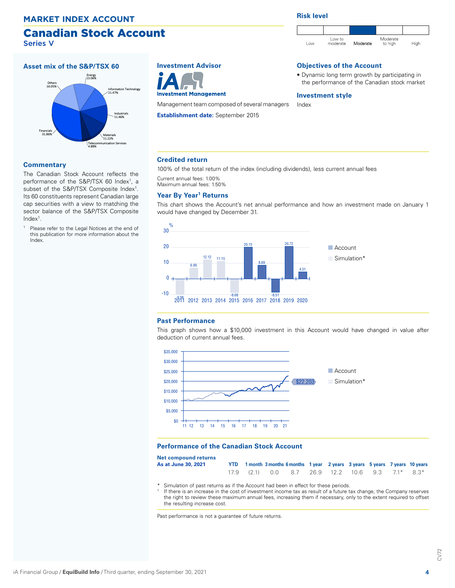### Canadian Stock Account Series V

<span id="page-3-0"></span>**Asset mix of the S&P/TSX 60** Financials 31.86% Others 16.05% Energy 13.06% Information Technology 11.47% Industrials 11.46% Materials 11.22% Telecommunication Services 4.88% **MARKET INDEX ACCOUNT**<br> **Canadian Stock Acc**<br>
Series V<br>
Asset mix of the S&P/TSX 60<br>
ELOCK<br>
TACK<br>
TACK<br>
TACK<br>
TACK<br>
TACK<br>
TACK<br>
TACK<br>
TACK<br>
TACK<br>
TACK<br>
TACK<br>
TACK<br>
TACK<br>
TACK<br>
TACK<br>
TACK<br>
TACK<br>
TACK<br>
TACK<br>
TACK<br>
TACK<br>
TACK

#### **Commentary**

The Canadian Stock Account reflects the performance of the S&P/TSX 60 Index<sup>1</sup>, a subset of the S&P/TSX Composite Index<sup>1</sup>. Its 60 constituents represent Canadian large cap securities with a view to matching the sector balance of the S&P/TSX Composite  $Index<sup>1</sup>$ .

Please refer to the Legal Notices at the end of this publication for more information about the Index.





Management team composed of several managers

**Establishment date:** September 2015

**Risk level**



#### **Objectives of the Account**

• Dynamic long term growth by participating in the performance of the Canadian stock market

#### **Investment style**

Index

#### **Credited return**

100% of the total return of the index (including dividends), less current annual fees

Current annual fees: 1.00% Maximum annual fees: 1.50%

### **Year By Year1 Returns**

This chart shows the Account's net annual performance and how an investment made on January 1 would have changed by December 31.



#### **Past Performance**

This graph shows how a \$10,000 investment in this Account would have changed in value after deduction of current annual fees.



#### **Performance of the Canadian Stock Account**

| Net compound returns        |  |                                                                               |  |  |  |  |
|-----------------------------|--|-------------------------------------------------------------------------------|--|--|--|--|
| As at June 30 <i>.</i> 2021 |  | YTD 1 month 3 months 6 months 1 year 2 years 3 years 5 years 7 years 10 years |  |  |  |  |
|                             |  | $17.9$ (2.1) 0.0 8.7 26.9 12.2 10.6 9.3 7.1* 8.3*                             |  |  |  |  |

- \* Simulation of past returns as if the Account had been in effect for these periods.
- If there is an increase in the cost of investment income tax as result of a future tax change, the Company reserves the right to review these maximum annual fees, increasing them if necessary, only to the extent required to offset the resulting increase cost.

Past performance is not a guarantee of future returns.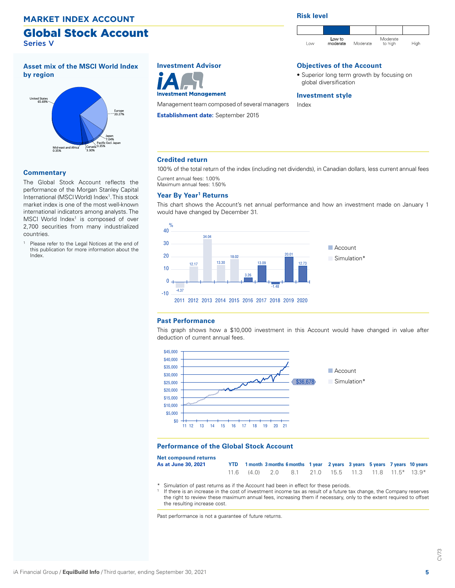#### <span id="page-4-0"></span>**MARKET INDEX ACCOUNT**

## Global Stock Account Series V

### **Asset mix of the MSCI World Index by region**



#### **Commentary**

The Global Stock Account reflects the performance of the Morgan Stanley Capital International (MSCI World) Index<sup>1</sup>. This stock market index is one of the most well-known international indicators among analysts. The MSCI World Index<sup>1</sup> is composed of over 2,700 securities from many industrialized countries.

Please refer to the Legal Notices at the end of this publication for more information about the Index.

## **Investment Advisor**



Management team composed of several managers

**Establishment date:** September 2015

**Risk level**



#### **Objectives of the Account**

• Superior long term growth by focusing on global diversification

#### **Investment style**

Index

#### **Credited return**

100% of the total return of the index (including net dividends), in Canadian dollars, less current annual fees Current annual fees: 1.00%

Maximum annual fees: 1.50%

#### **Year By Year1 Returns**

This chart shows the Account's net annual performance and how an investment made on January 1 would have changed by December 31.



#### **Past Performance**

This graph shows how a \$10,000 investment in this Account would have changed in value after deduction of current annual fees.



#### **Performance of the Global Stock Account**

| Net compound returns        |  |                                                                               |  |  |  |  |
|-----------------------------|--|-------------------------------------------------------------------------------|--|--|--|--|
| As at June 30 <i>.</i> 2021 |  | YTD 1 month 3 months 6 months 1 year 2 years 3 years 5 years 7 years 10 years |  |  |  |  |
|                             |  | $11.6$ (4.0) 2.0 8.1 21.0 15.5 11.3 11.8 11.5* 13.9*                          |  |  |  |  |

- \* Simulation of past returns as if the Account had been in effect for these periods.
- If there is an increase in the cost of investment income tax as result of a future tax change, the Company reserves the right to review these maximum annual fees, increasing them if necessary, only to the extent required to offset the resulting increase cost.

Past performance is not a guarantee of future returns.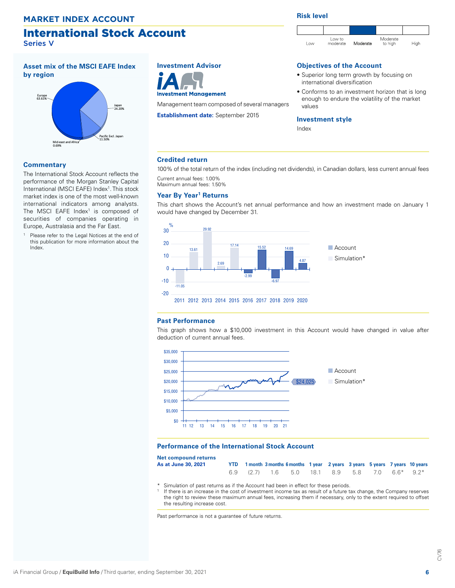## <span id="page-5-0"></span>International Stock Account

Series V

**Asset mix of the MSCI EAFE Index by region**



#### **Commentary**

The International Stock Account reflects the performance of the Morgan Stanley Capital International (MSCI EAFE) Index<sup>1</sup>. This stock market index is one of the most well-known international indicators among analysts. The MSCI EAFE Index<sup>1</sup> is composed of securities of companies operating in Europe, Australasia and the Far East.

Please refer to the Legal Notices at the end of this publication for more information about the Index.

## **Investment Advisor**



Management team composed of several managers

**Establishment date:** September 2015

#### **Risk level**



### **Objectives of the Account**

- Superior long term growth by focusing on international diversification
- Conforms to an investment horizon that is long enough to endure the volatility of the market values

#### **Investment style**

Index

#### **Credited return**

100% of the total return of the index (including net dividends), in Canadian dollars, less current annual fees Current annual fees: 1.00%

Maximum annual fees: 1.50%

#### **Year By Year1 Returns**

This chart shows the Account's net annual performance and how an investment made on January 1 would have changed by December 31.



#### **Past Performance**

**Net** 

This graph shows how a \$10,000 investment in this Account would have changed in value after deduction of current annual fees.



#### **Performance of the International Stock Account**

| Net compound returns        |                                                                               |  |  |  |  |
|-----------------------------|-------------------------------------------------------------------------------|--|--|--|--|
| As at June 30 <i>.</i> 2021 | YTD 1 month 3 months 6 months 1 year 2 years 3 years 5 years 7 years 10 years |  |  |  |  |
|                             | 6.9 (2.7) 1.6 5.0 18.1 8.9 5.8 7.0 6.6* 9.2*                                  |  |  |  |  |

- \* Simulation of past returns as if the Account had been in effect for these periods.
- If there is an increase in the cost of investment income tax as result of a future tax change, the Company reserves the right to review these maximum annual fees, increasing them if necessary, only to the extent required to offset the resulting increase cost.

Past performance is not a guarantee of future returns.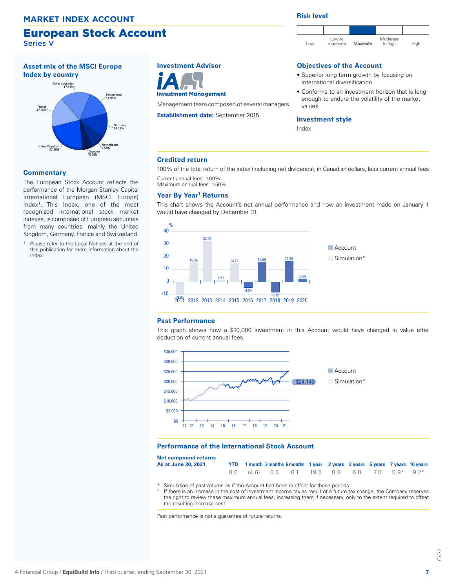### European Stock Account Series V

**Asset mix of the MSCI Europe Index by country**

<span id="page-6-0"></span>

#### **Commentary**

The European Stock Account reflects the performance of the Morgan Stanley Capital International European (MSCI Europe) Index1. This Index, one of the most recognized international stock market indexes, is composed of European securities from many countries, mainly the United Kingdom, Germany, France and Switzerland.

Please refer to the Legal Notices at the end of this publication for more information about the Index.

## **Investment Advisor**



Management team composed of several managers

**Establishment date:** September 2015

#### **Risk level**



#### **Objectives of the Account**

- Superior long term growth by focusing on international diversification
- Conforms to an investment horizon that is long enough to endure the volatility of the market values

#### **Investment style**

Index

#### **Credited return**

100% of the total return of the index (including net dividends), in Canadian dollars, less current annual fees Current annual fees: 1.00%

Maximum annual fees: 1.50%

#### **Year By Year1 Returns**

This chart shows the Account's net annual performance and how an investment made on January 1 would have changed by December 31.



#### **Past Performance**

This graph shows how a \$10,000 investment in this Account would have changed in value after deduction of current annual fees.



#### **Performance of the International Stock Account**

| Net compound returns        |  |                                                                               |  |  |  |  |
|-----------------------------|--|-------------------------------------------------------------------------------|--|--|--|--|
| As at June 30 <i>.</i> 2021 |  | YTD 1 month 3 months 6 months 1 year 2 years 3 years 5 years 7 years 10 years |  |  |  |  |
|                             |  | 8.6 (4.6) 0.5 6.1 19.5 8.8 6.0 7.0 5.9* 9.2*                                  |  |  |  |  |

- \* Simulation of past returns as if the Account had been in effect for these periods.
- If there is an increase in the cost of investment income tax as result of a future tax change, the Company reserves the right to review these maximum annual fees, increasing them if necessary, only to the extent required to offset the resulting increase cost.

Past performance is not a guarantee of future returns.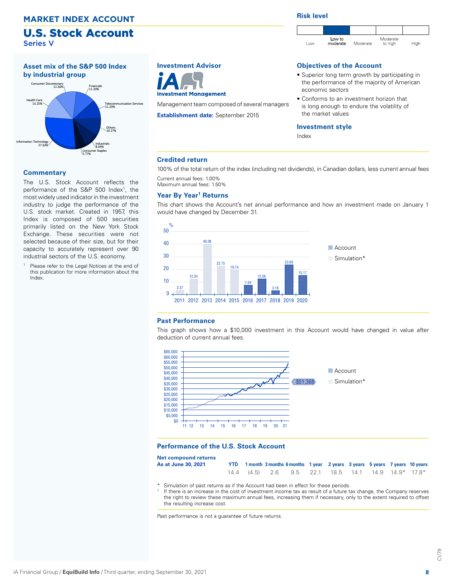#### <span id="page-7-0"></span>**MARKET INDEX ACCOUNT**

## U.S. Stock Account Series V



#### **Commentary**

The U.S. Stock Account reflects the performance of the S&P 500 Index<sup>1</sup>, the most widely used indicator in the investment industry to judge the performance of the U.S. stock market. Created in 1957, this Index is composed of 500 securities primarily listed on the New York Stock Exchange. These securities were not selected because of their size, but for their capacity to accurately represent over 90 industrial sectors of the U.S. economy.

Please refer to the Legal Notices at the end of this publication for more information about the Index.

## **Investment Advisor**



Management team composed of several managers

**Establishment date:** September 2015

#### **Risk level**



#### **Objectives of the Account**

- Superior long term growth by participating in the performance of the majority of American economic sectors
- Conforms to an investment horizon that is long enough to endure the volatility of the market values

#### **Investment style**

Index

#### **Credited return**

100% of the total return of the index (including net dividends), in Canadian dollars, less current annual fees Current annual fees: 1.00%

Maximum annual fees: 1.50%

#### **Year By Year1 Returns**

This chart shows the Account's net annual performance and how an investment made on January 1 would have changed by December 31.



#### **Past Performance**

This graph shows how a \$10,000 investment in this Account would have changed in value after deduction of current annual fees.



#### **Performance of the U.S. Stock Account**

| Net compound returns |  |                                                                               |  |  |  |  |
|----------------------|--|-------------------------------------------------------------------------------|--|--|--|--|
| As at June 30, 2021  |  | YTD 1 month 3 months 6 months 1 year 2 years 3 years 5 years 7 years 10 years |  |  |  |  |
|                      |  | 14.4 (4.5) 2.6 9.5 22.1 18.5 14.1 14.9 14.9 17.8 *                            |  |  |  |  |

- \* Simulation of past returns as if the Account had been in effect for these periods.
- If there is an increase in the cost of investment income tax as result of a future tax change, the Company reserves the right to review these maximum annual fees, increasing them if necessary, only to the extent required to offset the resulting increase cost.

Past performance is not a guarantee of future returns.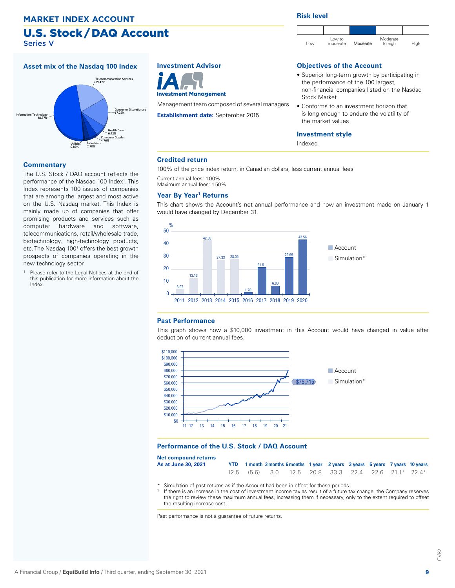## U.S. Stock / DAQ Account Series V

<span id="page-8-0"></span>**Asset mix of the Nasdaq 100 Index** nology<br>48.57% nication Services releco<br>محمد Consumer Discretionary 17.22% Health Care 6.42% Consumer Staples 4.76% Industrials 2.70% Utilities 0.86% MARKET INDEX ACCOUNT<br>
U.S. Stock / DAQ Access V<br>
Asset mix of the Nasdaq 100 Index<br>
Information Technology<br>
Asset Mark Capper Disc<sup>Consumer Disc</sup><br>
Information Technology<br>
Asset Mark Capper Disc<sup>Consumer Disc</sup><br>
Utilities<br>
I

#### **Commentary**

The U.S. Stock / DAQ account reflects the performance of the Nasdaq 100 Index<sup>1</sup>. This Index represents 100 issues of companies that are among the largest and most active on the U.S. Nasdaq market. This Index is mainly made up of companies that offer promising products and services such as computer hardware and software, telecommunications, retail/wholesale trade, biotechnology, high-technology products, etc. The Nasdaq 100<sup>1</sup> offers the best growth prospects of companies operating in the new technology sector.

Please refer to the Legal Notices at the end of this publication for more information about the Index.

## **Investment Advisor**



Management team composed of several managers

**Establishment date:** September 2015

#### **Risk level**



### **Objectives of the Account**

- Superior long-term growth by participating in the performance of the 100 largest, non-financial companies listed on the Nasdaq Stock Market
- Conforms to an investment horizon that is long enough to endure the volatility of the market values

#### **Investment style**

Indexed

#### **Credited return**

100% of the price index return, in Canadian dollars, less current annual fees

Current annual fees: 1.00%

## Maximum annual fees: 1.50%

#### **Year By Year1 Returns**

This chart shows the Account's net annual performance and how an investment made on January 1 would have changed by December 31.



#### **Past Performance**

**Net** 

This graph shows how a \$10,000 investment in this Account would have changed in value after deduction of current annual fees.



#### **Performance of the U.S. Stock / DAQ Account**

| Net compound returns        |  |                                                                               |  |  |  |
|-----------------------------|--|-------------------------------------------------------------------------------|--|--|--|
| As at June 30 <i>.</i> 2021 |  | YTD 1 month 3 months 6 months 1 year 2 years 3 years 5 years 7 years 10 years |  |  |  |
|                             |  | $12.5$ (5.6) 3.0 12.5 20.8 33.3 22.4 22.6 21.1* 22.4*                         |  |  |  |

- \* Simulation of past returns as if the Account had been in effect for these periods.
- If there is an increase in the cost of investment income tax as result of a future tax change, the Company reserves the right to review these maximum annual fees, increasing them if necessary, only to the extent required to offset the resulting increase cost..

Past performance is not a guarantee of future returns.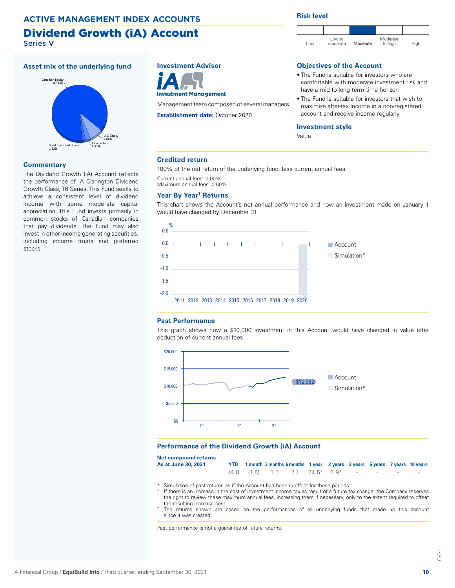### <span id="page-9-0"></span>**ACTIVE MANAGEMENT INDEX ACCOUNTS**

#### Dividend Growth (iA) Account Series V

#### **Asset mix of the underlying fund**



#### **Commentary**

The Dividend Growth (iA) Account reflects the performance of IA Clarington Dividend Growth Class, T6 Series. This Fund seeks to achieve a consistent level of dividend income with some moderate capital appreciation. This Fund invests primarily in common stocks of Canadian companies that pay dividends. The Fund may also invest in other income generating securities, including income trusts and preferred stocks.

## **Investment Advisor**



Management team composed of several managers

**Establishment date:** October 2020

#### **Risk level**



#### **Objectives of the Account**

- The Fund is suitable for investors who are comfortable with moderate investment risk and have a mid to long term time horizon
- The Fund is suitable for investors that wish to maximize after-tax income in a non-registered account and receive income regularly

#### **Investment style**

Value

#### **Credited return**

100% of the net return of the underlying fund, less current annual fees

Current annual fees: 0.00%

## Maximum annual fees: 0.50%

#### **Year By Year1 Returns**

This chart shows the Account's net annual performance and how an investment made on January 1 would have changed by December 31.



#### **Past Performance**

This graph shows how a \$10,000 investment in this Account would have changed in value after deduction of current annual fees.



#### **Performance of the Dividend Growth (iA) Account**

**Net compound returns As at June 30, 2021** 

|  |  | YTD 1 month 3 months 6 months 1 year 2 years 3 years 5 years 7 years 10 years |  |  |  |
|--|--|-------------------------------------------------------------------------------|--|--|--|
|  |  | $14.8$ (1.5) 1.5 7.1 24.5* 6.9* - - - - -                                     |  |  |  |

- \* Simulation of past returns as if the Account had been in effect for these periods.
- If there is an increase in the cost of investment income tax as result of a future tax change, the Company reserves the right to review these maximum annual fees, increasing them if necessary, only to the extent required to offset the resulting increase cost.
- The returns shown are based on the performances of all underlying funds that made up this account since it was created.

Past performance is not a guarantee of future returns.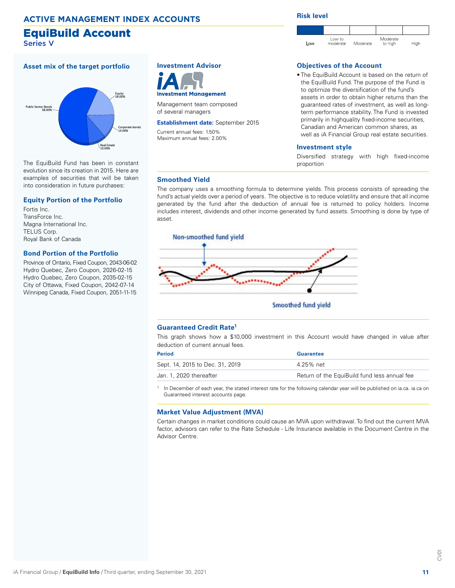## <span id="page-10-0"></span>**ACTIVE MANAGEMENT INDEX ACCOUNTS**

## EquiBuild Account

Series V

#### **Asset mix of the target portfolio**



The EquiBuild Fund has been in constant evolution since its creation in 2015. Here are examples of securities that will be taken into consideration in future purchases:

#### **Equity Portion of the Portfolio**

Fortis Inc. TransForce Inc. Magna International Inc. TELUS Corp. Royal Bank of Canada

#### **Bond Portion of the Portfolio**

Province of Ontario, Fixed Coupon, 2043-06-02 Hydro Quebec, Zero Coupon, 2026-02-15 Hydro Quebec, Zero Coupon, 2035-02-15 City of Ottawa, Fixed Coupon, 2042-07-14 Winnipeg Canada, Fixed Coupon, 2051-11-15

## **Investment Advisor**



Management team composed of several managers

**Establishment date:** September 2015 Current annual fees: 1.50%

Maximum annual fees: 2.00%

#### **Risk level**



#### **Objectives of the Account**

• The EquiBuild Account is based on the return of the EquiBuild Fund. The purpose of the Fund is to optimize the diversification of the fund's assets in order to obtain higher returns than the guaranteed rates of investment, as well as longterm performance stability. The Fund is invested primarily in highquality fixed-income securities, Canadian and American common shares, as well as iA Financial Group real estate securities.

#### **Investment style**

Diversified strategy with high fixed-income proportion

#### **Smoothed Yield**

The company uses a smoothing formula to determine yields. This process consists of spreading the fund's actual yields over a period of years. The objective is to reduce volatility and ensure that all income generated by the fund after the deduction of annual fee is returned to policy holders. Income includes interest, dividends and other income generated by fund assets. Smoothing is done by type of asset.



**Smoothed fund yield** 

#### **Guaranteed Credit Rate1**

This graph shows how a \$10,000 investment in this Account would have changed in value after deduction of current annual fees.

| <b>Period</b>                   | Guarantee                                    |
|---------------------------------|----------------------------------------------|
| Sept. 14, 2015 to Dec. 31, 2019 | 4 25% net                                    |
| Jan. 1. 2020 thereafter         | Return of the EquiBuild fund less annual fee |
|                                 |                                              |

In December of each year, the stated interest rate for the following calendar year will be published on ia.ca. ia.ca on Guaranteed interest accounts page.

#### **Market Value Adjustment (MVA)**

Certain changes in market conditions could cause an MVA upon withdrawal. To find out the current MVA factor, advisors can refer to the Rate Schedule - Life Insurance available in the Document Centre in the Advisor Centre.

<u>S</u>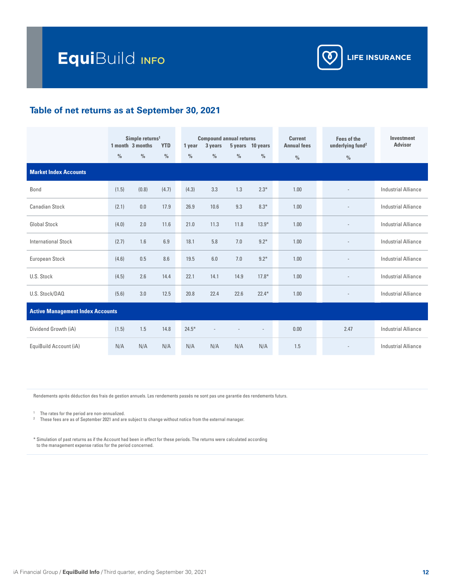

## **Table of net returns as at September 30, 2021**

|                                         |               | Simple returns <sup>1</sup><br>1 month 3 months | <b>YTD</b>    | 1 year        | 3 years       | <b>Compound annual returns</b><br>5 years 10 years |                | <b>Current</b><br><b>Annual fees</b> | <b>Fees of the</b><br>underlying fund <sup>2</sup> | Investment<br><b>Advisor</b> |
|-----------------------------------------|---------------|-------------------------------------------------|---------------|---------------|---------------|----------------------------------------------------|----------------|--------------------------------------|----------------------------------------------------|------------------------------|
|                                         | $\frac{0}{0}$ | $\frac{0}{0}$                                   | $\frac{0}{0}$ | $\frac{0}{0}$ | $\frac{0}{0}$ | $\frac{0}{0}$                                      | $\frac{0}{0}$  | $\frac{0}{0}$                        | $\frac{0}{0}$                                      |                              |
| <b>Market Index Accounts</b>            |               |                                                 |               |               |               |                                                    |                |                                      |                                                    |                              |
| Bond                                    | (1.5)         | (0.8)                                           | (4.7)         | (4.3)         | 3.3           | 1.3                                                | $2.3*$         | 1.00                                 |                                                    | <b>Industrial Alliance</b>   |
| <b>Canadian Stock</b>                   | (2.1)         | 0.0                                             | 17.9          | 26.9          | 10.6          | 9.3                                                | $8.3*$         | 1.00                                 |                                                    | <b>Industrial Alliance</b>   |
| <b>Global Stock</b>                     | (4.0)         | 2.0                                             | 11.6          | 21.0          | 11.3          | 11.8                                               | $13.9*$        | 1.00                                 |                                                    | <b>Industrial Alliance</b>   |
| <b>International Stock</b>              | (2.7)         | 1.6                                             | 6.9           | 18.1          | 5.8           | 7.0                                                | $9.2*$         | 1.00                                 |                                                    | <b>Industrial Alliance</b>   |
| European Stock                          | (4.6)         | 0.5                                             | 8.6           | 19.5          | 6.0           | 7.0                                                | $9.2*$         | 1.00                                 |                                                    | <b>Industrial Alliance</b>   |
| U.S. Stock                              | (4.5)         | 2.6                                             | 14.4          | 22.1          | 14.1          | 14.9                                               | $17.8*$        | 1.00                                 |                                                    | <b>Industrial Alliance</b>   |
| U.S. Stock/DAQ                          | (5.6)         | 3.0                                             | 12.5          | 20.8          | 22.4          | 22.6                                               | $22.4*$        | 1.00                                 |                                                    | <b>Industrial Alliance</b>   |
| <b>Active Management Index Accounts</b> |               |                                                 |               |               |               |                                                    |                |                                      |                                                    |                              |
| Dividend Growth (iA)                    | (1.5)         | 1.5                                             | 14.8          | $24.5*$       |               |                                                    | $\overline{a}$ | 0.00                                 | 2.47                                               | <b>Industrial Alliance</b>   |
| EquiBuild Account (iA)                  | N/A           | N/A                                             | N/A           | N/A           | N/A           | N/A                                                | N/A            | 1.5                                  |                                                    | <b>Industrial Alliance</b>   |

Rendements après déduction des frais de gestion annuels. Les rendements passés ne sont pas une garantie des rendements futurs.

<sup>1</sup> The rates for the period are non-annualized.

<sup>2</sup> These fees are as of September 2021 and are subject to change without notice from the external manager.

\* Simulation of past returns as if the Account had been in effect for these periods. The returns were calculated according to the management expense ratios for the period concerned.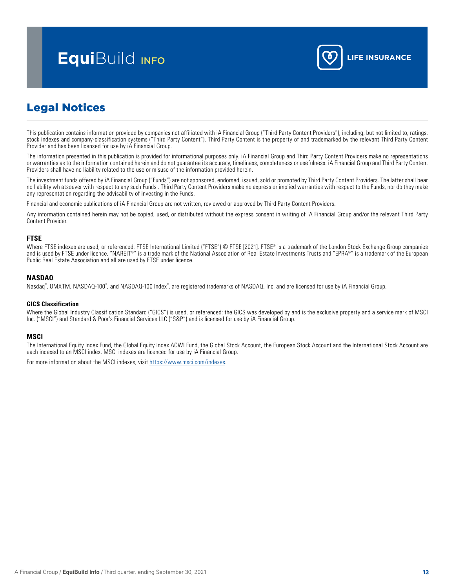# <span id="page-12-0"></span>**Equi**Build info **Little Section 1**



## Legal Notices

This publication contains information provided by companies not affiliated with iA Financial Group ("Third Party Content Providers"), including, but not limited to, ratings, stock indexes and company-classification systems ("Third Party Content"). Third Party Content is the property of and trademarked by the relevant Third Party Content Provider and has been licensed for use by  $i\overrightarrow{A}$  Financial Group.

The information presented in this publication is provided for informational purposes only. iA Financial Group and Third Party Content Providers make no representations or warranties as to the information contained herein and do not guarantee its accuracy, timeliness, completeness or usefulness. iA Financial Group and Third Party Content Providers shall have no liability related to the use or misuse of the information provided herein.

The investment funds offered by iA Financial Group ("Funds") are not sponsored, endorsed, issued, sold or promoted by Third Party Content Providers. The latter shall bear no liability wh atsoever with respect to any such Funds . Third Party Content Providers make no express or implied warranties with respect to the Funds, nor do they make any representation regarding the advisability of investing in the Funds.

Financial and economic publications of iA Financial Group are not written, reviewed or approved by Third Party Content Providers.

Any information contained herein may not be copied, used, or distributed without the express consent in writing of iA Financial Group and/or the relevant Third Party Content Provider.

### **FTSE**

Where FTSE indexes are used, or referenced: FTSE International Limited ("FTSE") © FTSE [2021]. FTSE® is a trademark of the London Stock Exchange Group companies and is used by FTSE under licence. "NAREIT®" is a trade mark of the National Association of Real Estate Investments Trusts and "EPRA®" is a trademark of the European Public Real Estate Association and all are used by FTSE under licence.

#### **NASDAQ**

Nasdaq®, OMXTM, NASDAQ-100®, and NASDAQ-100 Index®, are registered trademarks of NASDAQ, Inc. and are licensed for use by iA Financial Group.

#### **GICS Classification**

Where the Global Industry Classification Standard ("GICS") is used, or referenced: the GICS was developed by and is the exclusive property and a service mark of MSCI Inc. ("MSCI") and Standard & Poor's Financial Services LLC ("S&P") and is licensed for use by iA Financial Group.

#### **MSCI**

The International Equity Index Fund, the Global Equity Index ACWI Fund, the Global Stock Account, the European Stock Account and the International Stock Account are each indexed to an MSCI index. MSCI indexes are licenced for use by iA Financial Group.

For more information about the MSCI indexes, visit<https://www.msci.com/indexes>.